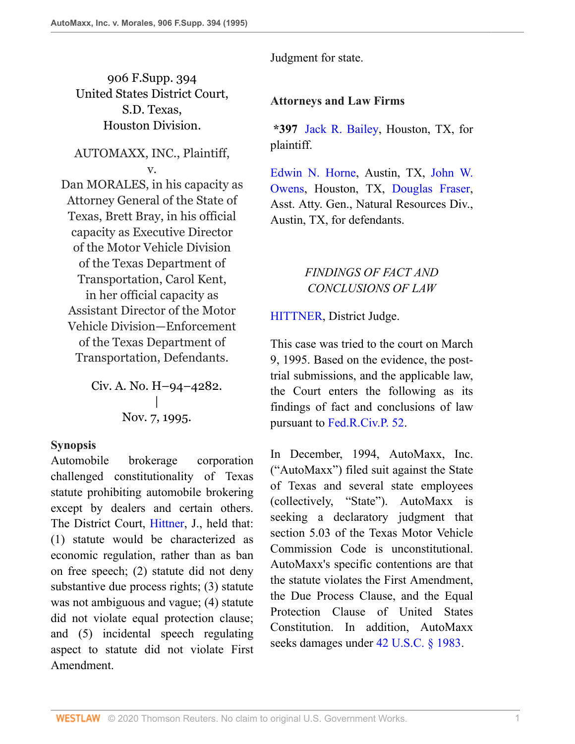906 F.Supp. 394 United States District Court, S.D. Texas, Houston Division.

AUTOMAXX, INC., Plaintiff, v.

Dan MORALES, in his capacity as Attorney General of the State of Texas, Brett Bray, in his official capacity as Executive Director of the Motor Vehicle Division of the Texas Department of Transportation, Carol Kent, in her official capacity as Assistant Director of the Motor Vehicle Division—Enforcement of the Texas Department of Transportation, Defendants.

> Civ. A. No. H–94–4282. | Nov. 7, 1995.

#### **Synopsis**

Automobile brokerage corporation challenged constitutionality of Texas statute prohibiting automobile brokering except by dealers and certain others. The District Court, [Hittner](http://www.westlaw.com/Link/Document/FullText?findType=h&pubNum=176284&cite=0248226001&originatingDoc=I3e815b11564411d9bf30d7fdf51b6bd4&refType=RQ&originationContext=document&vr=3.0&rs=cblt1.0&transitionType=DocumentItem&contextData=(sc.UserEnteredCitation)), J., held that: (1) statute would be characterized as economic regulation, rather than as ban on free speech; (2) statute did not deny substantive due process rights; (3) statute was not ambiguous and vague; (4) statute did not violate equal protection clause; and (5) incidental speech regulating aspect to statute did not violate First Amendment.

Judgment for state.

# **Attorneys and Law Firms**

**\*397** [Jack R. Bailey](http://www.westlaw.com/Link/Document/FullText?findType=h&pubNum=176284&cite=0275678601&originatingDoc=I3e815b11564411d9bf30d7fdf51b6bd4&refType=RQ&originationContext=document&vr=3.0&rs=cblt1.0&transitionType=DocumentItem&contextData=(sc.UserEnteredCitation)), Houston, TX, for plaintiff.

[Edwin N. Horne](http://www.westlaw.com/Link/Document/FullText?findType=h&pubNum=176284&cite=0203466701&originatingDoc=I3e815b11564411d9bf30d7fdf51b6bd4&refType=RQ&originationContext=document&vr=3.0&rs=cblt1.0&transitionType=DocumentItem&contextData=(sc.UserEnteredCitation)), Austin, TX, [John W.](http://www.westlaw.com/Link/Document/FullText?findType=h&pubNum=176284&cite=0250206201&originatingDoc=I3e815b11564411d9bf30d7fdf51b6bd4&refType=RQ&originationContext=document&vr=3.0&rs=cblt1.0&transitionType=DocumentItem&contextData=(sc.UserEnteredCitation)) [Owens](http://www.westlaw.com/Link/Document/FullText?findType=h&pubNum=176284&cite=0250206201&originatingDoc=I3e815b11564411d9bf30d7fdf51b6bd4&refType=RQ&originationContext=document&vr=3.0&rs=cblt1.0&transitionType=DocumentItem&contextData=(sc.UserEnteredCitation)), Houston, TX, [Douglas Fraser,](http://www.westlaw.com/Link/Document/FullText?findType=h&pubNum=176284&cite=0461347701&originatingDoc=I3e815b11564411d9bf30d7fdf51b6bd4&refType=RQ&originationContext=document&vr=3.0&rs=cblt1.0&transitionType=DocumentItem&contextData=(sc.UserEnteredCitation)) Asst. Atty. Gen., Natural Resources Div., Austin, TX, for defendants.

# *FINDINGS OF FACT AND CONCLUSIONS OF LAW*

[HITTNER,](http://www.westlaw.com/Link/Document/FullText?findType=h&pubNum=176284&cite=0248226001&originatingDoc=I3e815b11564411d9bf30d7fdf51b6bd4&refType=RQ&originationContext=document&vr=3.0&rs=cblt1.0&transitionType=DocumentItem&contextData=(sc.UserEnteredCitation)) District Judge.

This case was tried to the court on March 9, 1995. Based on the evidence, the posttrial submissions, and the applicable law, the Court enters the following as its findings of fact and conclusions of law pursuant to [Fed.R.Civ.P. 52](http://www.westlaw.com/Link/Document/FullText?findType=L&pubNum=1000600&cite=USFRCPR52&originatingDoc=I3e815b11564411d9bf30d7fdf51b6bd4&refType=LQ&originationContext=document&vr=3.0&rs=cblt1.0&transitionType=DocumentItem&contextData=(sc.UserEnteredCitation)).

In December, 1994, AutoMaxx, Inc. ("AutoMaxx") filed suit against the State of Texas and several state employees (collectively, "State"). AutoMaxx is seeking a declaratory judgment that section 5.03 of the Texas Motor Vehicle Commission Code is unconstitutional. AutoMaxx's specific contentions are that the statute violates the First Amendment, the Due Process Clause, and the Equal Protection Clause of United States Constitution. In addition, AutoMaxx seeks damages under [42 U.S.C. § 1983](http://www.westlaw.com/Link/Document/FullText?findType=L&pubNum=1000546&cite=42USCAS1983&originatingDoc=I3e815b11564411d9bf30d7fdf51b6bd4&refType=LQ&originationContext=document&vr=3.0&rs=cblt1.0&transitionType=DocumentItem&contextData=(sc.UserEnteredCitation)).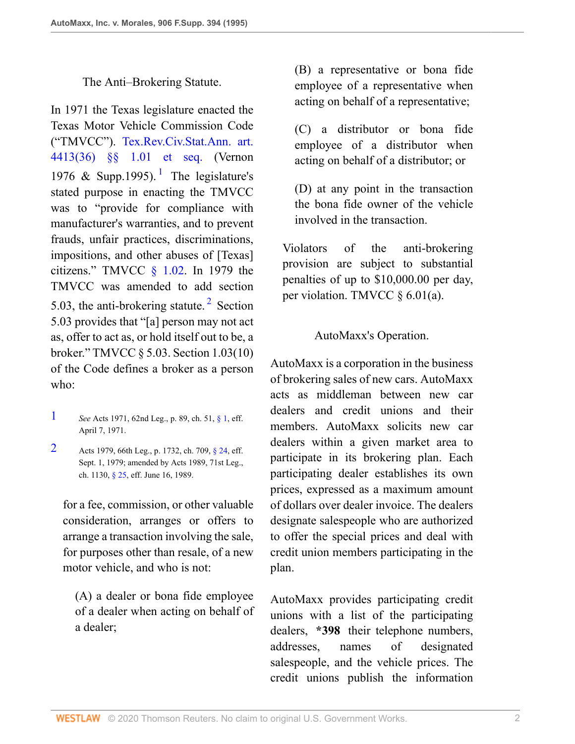#### <span id="page-1-2"></span>The Anti–Brokering Statute.

In 1971 the Texas legislature enacted the Texas Motor Vehicle Commission Code ("TMVCC"). [Tex.Rev.Civ.Stat.Ann. art.](http://www.westlaw.com/Link/Document/FullText?findType=L&pubNum=1000188&cite=TXCSART4413(36)&originatingDoc=I3e815b11564411d9bf30d7fdf51b6bd4&refType=LQ&originationContext=document&vr=3.0&rs=cblt1.0&transitionType=DocumentItem&contextData=(sc.UserEnteredCitation)) [4413\(36\) §§ 1.01 et seq.](http://www.westlaw.com/Link/Document/FullText?findType=L&pubNum=1000188&cite=TXCSART4413(36)&originatingDoc=I3e815b11564411d9bf30d7fdf51b6bd4&refType=LQ&originationContext=document&vr=3.0&rs=cblt1.0&transitionType=DocumentItem&contextData=(sc.UserEnteredCitation)) (Vernon [1](#page-1-0)976 & Supp.1995).<sup>1</sup> The legislature's stated purpose in enacting the TMVCC was to "provide for compliance with manufacturer's warranties, and to prevent frauds, unfair practices, discriminations, impositions, and other abuses of [Texas] citizens." TMVCC  $\frac{102}{102}$ . In 1979 the TMVCC was amended to add section 5.03, the anti-brokering statute.<sup>[2](#page-1-1)</sup> Section 5.03 provides that "[a] person may not act as, offer to act as, or hold itself out to be, a broker." TMVCC § 5.03. Section 1.03(10) of the Code defines a broker as a person who:

- <span id="page-1-0"></span>[1](#page-1-2) *See* Acts 1971, 62nd Leg., p. 89, ch. 51, [§ 1](http://www.westlaw.com/Link/Document/FullText?findType=L&pubNum=1000546&cite=26USCAS1&originatingDoc=I3e815b11564411d9bf30d7fdf51b6bd4&refType=LQ&originationContext=document&vr=3.0&rs=cblt1.0&transitionType=DocumentItem&contextData=(sc.UserEnteredCitation)), eff. April 7, 1971.
- <span id="page-1-1"></span>[2](#page-1-3) Acts 1979, 66th Leg., p. 1732, ch. 709, [§ 24](http://www.westlaw.com/Link/Document/FullText?findType=L&pubNum=1000546&cite=26USCAS24&originatingDoc=I3e815b11564411d9bf30d7fdf51b6bd4&refType=LQ&originationContext=document&vr=3.0&rs=cblt1.0&transitionType=DocumentItem&contextData=(sc.UserEnteredCitation)), eff. Sept. 1, 1979; amended by Acts 1989, 71st Leg., ch. 1130, [§ 25,](http://www.westlaw.com/Link/Document/FullText?findType=L&pubNum=1000546&cite=26USCAS25&originatingDoc=I3e815b11564411d9bf30d7fdf51b6bd4&refType=LQ&originationContext=document&vr=3.0&rs=cblt1.0&transitionType=DocumentItem&contextData=(sc.UserEnteredCitation)) eff. June 16, 1989.

for a fee, commission, or other valuable consideration, arranges or offers to arrange a transaction involving the sale, for purposes other than resale, of a new motor vehicle, and who is not:

(A) a dealer or bona fide employee of a dealer when acting on behalf of a dealer;

(B) a representative or bona fide employee of a representative when acting on behalf of a representative;

(C) a distributor or bona fide employee of a distributor when acting on behalf of a distributor; or

(D) at any point in the transaction the bona fide owner of the vehicle involved in the transaction.

Violators of the anti-brokering provision are subject to substantial penalties of up to \$10,000.00 per day, per violation. TMVCC § 6.01(a).

## AutoMaxx's Operation.

<span id="page-1-3"></span>AutoMaxx is a corporation in the business of brokering sales of new cars. AutoMaxx acts as middleman between new car dealers and credit unions and their members. AutoMaxx solicits new car dealers within a given market area to participate in its brokering plan. Each participating dealer establishes its own prices, expressed as a maximum amount of dollars over dealer invoice. The dealers designate salespeople who are authorized to offer the special prices and deal with credit union members participating in the plan.

AutoMaxx provides participating credit unions with a list of the participating dealers, **\*398** their telephone numbers, addresses, names of designated salespeople, and the vehicle prices. The credit unions publish the information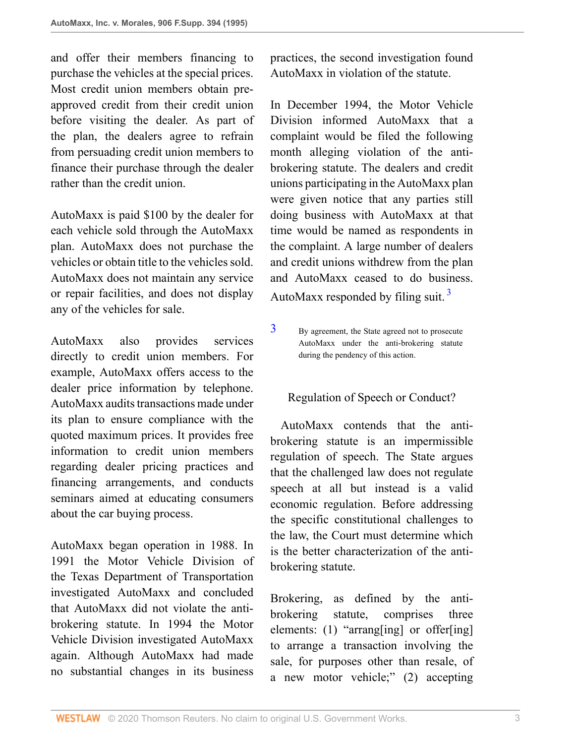and offer their members financing to purchase the vehicles at the special prices. Most credit union members obtain preapproved credit from their credit union before visiting the dealer. As part of the plan, the dealers agree to refrain from persuading credit union members to finance their purchase through the dealer rather than the credit union.

AutoMaxx is paid \$100 by the dealer for each vehicle sold through the AutoMaxx plan. AutoMaxx does not purchase the vehicles or obtain title to the vehicles sold. AutoMaxx does not maintain any service or repair facilities, and does not display any of the vehicles for sale.

AutoMaxx also provides services directly to credit union members. For example, AutoMaxx offers access to the dealer price information by telephone. AutoMaxx audits transactions made under its plan to ensure compliance with the quoted maximum prices. It provides free information to credit union members regarding dealer pricing practices and financing arrangements, and conducts seminars aimed at educating consumers about the car buying process.

AutoMaxx began operation in 1988. In 1991 the Motor Vehicle Division of the Texas Department of Transportation investigated AutoMaxx and concluded that AutoMaxx did not violate the antibrokering statute. In 1994 the Motor Vehicle Division investigated AutoMaxx again. Although AutoMaxx had made no substantial changes in its business

practices, the second investigation found AutoMaxx in violation of the statute.

In December 1994, the Motor Vehicle Division informed AutoMaxx that a complaint would be filed the following month alleging violation of the antibrokering statute. The dealers and credit unions participating in the AutoMaxx plan were given notice that any parties still doing business with AutoMaxx at that time would be named as respondents in the complaint. A large number of dealers and credit unions withdrew from the plan and AutoMaxx ceased to do business. AutoMaxx responded by filing suit.  $3\overline{)}$  $3\overline{)}$ 

<span id="page-2-1"></span><span id="page-2-0"></span>[3](#page-2-1) By agreement, the State agreed not to prosecute AutoMaxx under the anti-brokering statute during the pendency of this action.

# Regulation of Speech or Conduct?

 AutoMaxx contends that the antibrokering statute is an impermissible regulation of speech. The State argues that the challenged law does not regulate speech at all but instead is a valid economic regulation. Before addressing the specific constitutional challenges to the law, the Court must determine which is the better characterization of the antibrokering statute.

Brokering, as defined by the antibrokering statute, comprises three elements: (1) "arrang[ing] or offer[ing] to arrange a transaction involving the sale, for purposes other than resale, of a new motor vehicle;" (2) accepting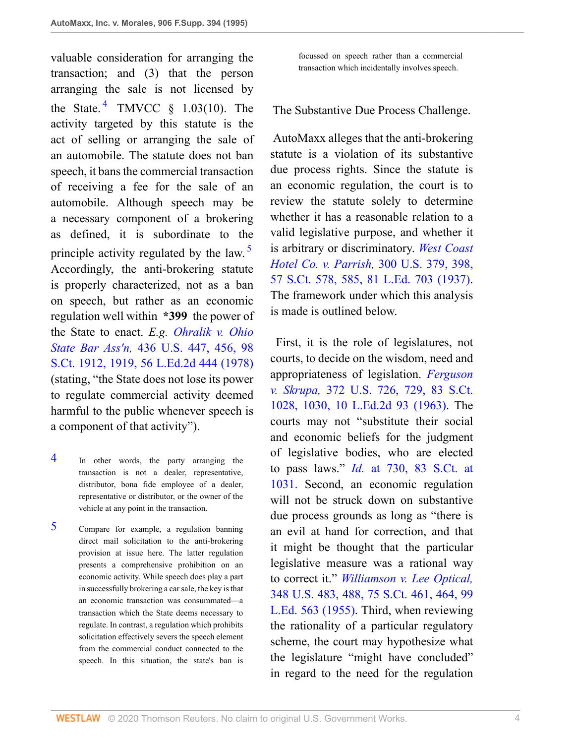<span id="page-3-2"></span>valuable consideration for arranging the transaction; and (3) that the person arranging the sale is not licensed by the State.<sup>[4](#page-3-0)</sup> TMVCC  $\S$  1.03(10). The activity targeted by this statute is the act of selling or arranging the sale of an automobile. The statute does not ban speech, it bans the commercial transaction of receiving a fee for the sale of an automobile. Although speech may be a necessary component of a brokering as defined, it is subordinate to the principle activity regulated by the law.<sup>[5](#page-3-1)</sup> Accordingly, the anti-brokering statute is properly characterized, not as a ban on speech, but rather as an economic regulation well within **\*399** the power of the State to enact. *E.g. [Ohralik v. Ohio](http://www.westlaw.com/Link/Document/FullText?findType=Y&serNum=1978114241&pubNum=0000708&originatingDoc=I3e815b11564411d9bf30d7fdf51b6bd4&refType=RP&fi=co_pp_sp_708_1919&originationContext=document&vr=3.0&rs=cblt1.0&transitionType=DocumentItem&contextData=(sc.UserEnteredCitation)#co_pp_sp_708_1919) State Bar Ass'n,* [436 U.S. 447, 456, 98](http://www.westlaw.com/Link/Document/FullText?findType=Y&serNum=1978114241&pubNum=0000708&originatingDoc=I3e815b11564411d9bf30d7fdf51b6bd4&refType=RP&fi=co_pp_sp_708_1919&originationContext=document&vr=3.0&rs=cblt1.0&transitionType=DocumentItem&contextData=(sc.UserEnteredCitation)#co_pp_sp_708_1919) [S.Ct. 1912, 1919, 56 L.Ed.2d 444 \(1978\)](http://www.westlaw.com/Link/Document/FullText?findType=Y&serNum=1978114241&pubNum=0000708&originatingDoc=I3e815b11564411d9bf30d7fdf51b6bd4&refType=RP&fi=co_pp_sp_708_1919&originationContext=document&vr=3.0&rs=cblt1.0&transitionType=DocumentItem&contextData=(sc.UserEnteredCitation)#co_pp_sp_708_1919) (stating, "the State does not lose its power to regulate commercial activity deemed harmful to the public whenever speech is a component of that activity").

- <span id="page-3-0"></span>[4](#page-3-2) In other words, the party arranging the transaction is not a dealer, representative, distributor, bona fide employee of a dealer, representative or distributor, or the owner of the vehicle at any point in the transaction.
- <span id="page-3-1"></span>[5](#page-3-3) Compare for example, a regulation banning direct mail solicitation to the anti-brokering provision at issue here. The latter regulation presents a comprehensive prohibition on an economic activity. While speech does play a part in successfully brokering a car sale, the key is that an economic transaction was consummated—a transaction which the State deems necessary to regulate. In contrast, a regulation which prohibits solicitation effectively severs the speech element from the commercial conduct connected to the speech. In this situation, the state's ban is

focussed on speech rather than a commercial transaction which incidentally involves speech.

The Substantive Due Process Challenge.

 AutoMaxx alleges that the anti-brokering statute is a violation of its substantive due process rights. Since the statute is an economic regulation, the court is to review the statute solely to determine whether it has a reasonable relation to a valid legislative purpose, and whether it is arbitrary or discriminatory. *[West Coast](http://www.westlaw.com/Link/Document/FullText?findType=Y&serNum=1937122277&pubNum=0000708&originatingDoc=I3e815b11564411d9bf30d7fdf51b6bd4&refType=RP&fi=co_pp_sp_708_585&originationContext=document&vr=3.0&rs=cblt1.0&transitionType=DocumentItem&contextData=(sc.UserEnteredCitation)#co_pp_sp_708_585) [Hotel Co. v. Parrish,](http://www.westlaw.com/Link/Document/FullText?findType=Y&serNum=1937122277&pubNum=0000708&originatingDoc=I3e815b11564411d9bf30d7fdf51b6bd4&refType=RP&fi=co_pp_sp_708_585&originationContext=document&vr=3.0&rs=cblt1.0&transitionType=DocumentItem&contextData=(sc.UserEnteredCitation)#co_pp_sp_708_585)* 300 U.S. 379, 398, [57 S.Ct. 578, 585, 81 L.Ed. 703 \(1937\).](http://www.westlaw.com/Link/Document/FullText?findType=Y&serNum=1937122277&pubNum=0000708&originatingDoc=I3e815b11564411d9bf30d7fdf51b6bd4&refType=RP&fi=co_pp_sp_708_585&originationContext=document&vr=3.0&rs=cblt1.0&transitionType=DocumentItem&contextData=(sc.UserEnteredCitation)#co_pp_sp_708_585) The framework under which this analysis is made is outlined below.

<span id="page-3-3"></span> First, it is the role of legislatures, not courts, to decide on the wisdom, need and appropriateness of legislation. *[Ferguson](http://www.westlaw.com/Link/Document/FullText?findType=Y&serNum=1963101657&pubNum=0000708&originatingDoc=I3e815b11564411d9bf30d7fdf51b6bd4&refType=RP&fi=co_pp_sp_708_1030&originationContext=document&vr=3.0&rs=cblt1.0&transitionType=DocumentItem&contextData=(sc.UserEnteredCitation)#co_pp_sp_708_1030) v. Skrupa,* [372 U.S. 726, 729, 83 S.Ct.](http://www.westlaw.com/Link/Document/FullText?findType=Y&serNum=1963101657&pubNum=0000708&originatingDoc=I3e815b11564411d9bf30d7fdf51b6bd4&refType=RP&fi=co_pp_sp_708_1030&originationContext=document&vr=3.0&rs=cblt1.0&transitionType=DocumentItem&contextData=(sc.UserEnteredCitation)#co_pp_sp_708_1030) [1028, 1030, 10 L.Ed.2d 93 \(1963\)](http://www.westlaw.com/Link/Document/FullText?findType=Y&serNum=1963101657&pubNum=0000708&originatingDoc=I3e815b11564411d9bf30d7fdf51b6bd4&refType=RP&fi=co_pp_sp_708_1030&originationContext=document&vr=3.0&rs=cblt1.0&transitionType=DocumentItem&contextData=(sc.UserEnteredCitation)#co_pp_sp_708_1030). The courts may not "substitute their social and economic beliefs for the judgment of legislative bodies, who are elected to pass laws." *Id.* [at 730, 83 S.Ct. at](http://www.westlaw.com/Link/Document/FullText?findType=Y&serNum=1963101657&pubNum=708&originatingDoc=I3e815b11564411d9bf30d7fdf51b6bd4&refType=RP&fi=co_pp_sp_708_1031&originationContext=document&vr=3.0&rs=cblt1.0&transitionType=DocumentItem&contextData=(sc.UserEnteredCitation)#co_pp_sp_708_1031) [1031.](http://www.westlaw.com/Link/Document/FullText?findType=Y&serNum=1963101657&pubNum=708&originatingDoc=I3e815b11564411d9bf30d7fdf51b6bd4&refType=RP&fi=co_pp_sp_708_1031&originationContext=document&vr=3.0&rs=cblt1.0&transitionType=DocumentItem&contextData=(sc.UserEnteredCitation)#co_pp_sp_708_1031) Second, an economic regulation will not be struck down on substantive due process grounds as long as "there is an evil at hand for correction, and that it might be thought that the particular legislative measure was a rational way to correct it." *[Williamson v. Lee Optical,](http://www.westlaw.com/Link/Document/FullText?findType=Y&serNum=1955121924&pubNum=0000708&originatingDoc=I3e815b11564411d9bf30d7fdf51b6bd4&refType=RP&fi=co_pp_sp_708_464&originationContext=document&vr=3.0&rs=cblt1.0&transitionType=DocumentItem&contextData=(sc.UserEnteredCitation)#co_pp_sp_708_464)* [348 U.S. 483, 488, 75 S.Ct. 461, 464, 99](http://www.westlaw.com/Link/Document/FullText?findType=Y&serNum=1955121924&pubNum=0000708&originatingDoc=I3e815b11564411d9bf30d7fdf51b6bd4&refType=RP&fi=co_pp_sp_708_464&originationContext=document&vr=3.0&rs=cblt1.0&transitionType=DocumentItem&contextData=(sc.UserEnteredCitation)#co_pp_sp_708_464) [L.Ed. 563 \(1955\)](http://www.westlaw.com/Link/Document/FullText?findType=Y&serNum=1955121924&pubNum=0000708&originatingDoc=I3e815b11564411d9bf30d7fdf51b6bd4&refType=RP&fi=co_pp_sp_708_464&originationContext=document&vr=3.0&rs=cblt1.0&transitionType=DocumentItem&contextData=(sc.UserEnteredCitation)#co_pp_sp_708_464). Third, when reviewing the rationality of a particular regulatory scheme, the court may hypothesize what the legislature "might have concluded" in regard to the need for the regulation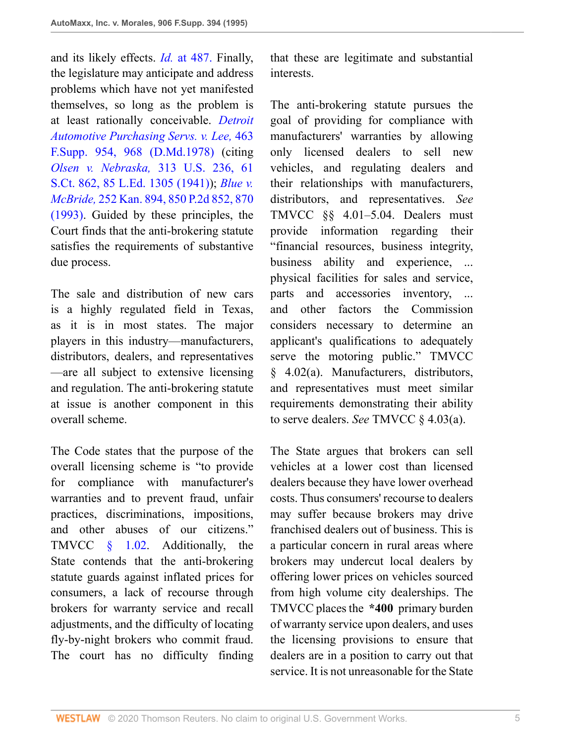and its likely effects. *Id.* [at 487.](http://www.westlaw.com/Link/Document/FullText?findType=Y&serNum=1955121924&originatingDoc=I3e815b11564411d9bf30d7fdf51b6bd4&refType=RP&originationContext=document&vr=3.0&rs=cblt1.0&transitionType=DocumentItem&contextData=(sc.UserEnteredCitation)) Finally, the legislature may anticipate and address problems which have not yet manifested themselves, so long as the problem is at least rationally conceivable. *[Detroit](http://www.westlaw.com/Link/Document/FullText?findType=Y&serNum=1979184240&pubNum=0000345&originatingDoc=I3e815b11564411d9bf30d7fdf51b6bd4&refType=RP&fi=co_pp_sp_345_968&originationContext=document&vr=3.0&rs=cblt1.0&transitionType=DocumentItem&contextData=(sc.UserEnteredCitation)#co_pp_sp_345_968) [Automotive Purchasing Servs. v. Lee,](http://www.westlaw.com/Link/Document/FullText?findType=Y&serNum=1979184240&pubNum=0000345&originatingDoc=I3e815b11564411d9bf30d7fdf51b6bd4&refType=RP&fi=co_pp_sp_345_968&originationContext=document&vr=3.0&rs=cblt1.0&transitionType=DocumentItem&contextData=(sc.UserEnteredCitation)#co_pp_sp_345_968)* 463 [F.Supp. 954, 968 \(D.Md.1978\)](http://www.westlaw.com/Link/Document/FullText?findType=Y&serNum=1979184240&pubNum=0000345&originatingDoc=I3e815b11564411d9bf30d7fdf51b6bd4&refType=RP&fi=co_pp_sp_345_968&originationContext=document&vr=3.0&rs=cblt1.0&transitionType=DocumentItem&contextData=(sc.UserEnteredCitation)#co_pp_sp_345_968) (citing *Olsen v. Nebraska,* [313 U.S. 236, 61](http://www.westlaw.com/Link/Document/FullText?findType=Y&serNum=1941122183&pubNum=0000708&originatingDoc=I3e815b11564411d9bf30d7fdf51b6bd4&refType=RP&originationContext=document&vr=3.0&rs=cblt1.0&transitionType=DocumentItem&contextData=(sc.UserEnteredCitation)) [S.Ct. 862, 85 L.Ed. 1305 \(1941\)](http://www.westlaw.com/Link/Document/FullText?findType=Y&serNum=1941122183&pubNum=0000708&originatingDoc=I3e815b11564411d9bf30d7fdf51b6bd4&refType=RP&originationContext=document&vr=3.0&rs=cblt1.0&transitionType=DocumentItem&contextData=(sc.UserEnteredCitation))); *[Blue v.](http://www.westlaw.com/Link/Document/FullText?findType=Y&serNum=1993089560&pubNum=0000661&originatingDoc=I3e815b11564411d9bf30d7fdf51b6bd4&refType=RP&fi=co_pp_sp_661_870&originationContext=document&vr=3.0&rs=cblt1.0&transitionType=DocumentItem&contextData=(sc.UserEnteredCitation)#co_pp_sp_661_870) McBride,* [252 Kan. 894, 850 P.2d 852, 870](http://www.westlaw.com/Link/Document/FullText?findType=Y&serNum=1993089560&pubNum=0000661&originatingDoc=I3e815b11564411d9bf30d7fdf51b6bd4&refType=RP&fi=co_pp_sp_661_870&originationContext=document&vr=3.0&rs=cblt1.0&transitionType=DocumentItem&contextData=(sc.UserEnteredCitation)#co_pp_sp_661_870) [\(1993\).](http://www.westlaw.com/Link/Document/FullText?findType=Y&serNum=1993089560&pubNum=0000661&originatingDoc=I3e815b11564411d9bf30d7fdf51b6bd4&refType=RP&fi=co_pp_sp_661_870&originationContext=document&vr=3.0&rs=cblt1.0&transitionType=DocumentItem&contextData=(sc.UserEnteredCitation)#co_pp_sp_661_870) Guided by these principles, the Court finds that the anti-brokering statute satisfies the requirements of substantive due process.

The sale and distribution of new cars is a highly regulated field in Texas, as it is in most states. The major players in this industry—manufacturers, distributors, dealers, and representatives —are all subject to extensive licensing and regulation. The anti-brokering statute at issue is another component in this overall scheme.

The Code states that the purpose of the overall licensing scheme is "to provide for compliance with manufacturer's warranties and to prevent fraud, unfair practices, discriminations, impositions, and other abuses of our citizens." TMVCC  $\S$  1.02. Additionally, the State contends that the anti-brokering statute guards against inflated prices for consumers, a lack of recourse through brokers for warranty service and recall adjustments, and the difficulty of locating fly-by-night brokers who commit fraud. The court has no difficulty finding

that these are legitimate and substantial interests.

The anti-brokering statute pursues the goal of providing for compliance with manufacturers' warranties by allowing only licensed dealers to sell new vehicles, and regulating dealers and their relationships with manufacturers, distributors, and representatives. *See* TMVCC §§ 4.01–5.04. Dealers must provide information regarding their "financial resources, business integrity, business ability and experience, ... physical facilities for sales and service, parts and accessories inventory, ... and other factors the Commission considers necessary to determine an applicant's qualifications to adequately serve the motoring public." TMVCC § 4.02(a). Manufacturers, distributors, and representatives must meet similar requirements demonstrating their ability to serve dealers. *See* TMVCC § 4.03(a).

The State argues that brokers can sell vehicles at a lower cost than licensed dealers because they have lower overhead costs. Thus consumers' recourse to dealers may suffer because brokers may drive franchised dealers out of business. This is a particular concern in rural areas where brokers may undercut local dealers by offering lower prices on vehicles sourced from high volume city dealerships. The TMVCC places the **\*400** primary burden of warranty service upon dealers, and uses the licensing provisions to ensure that dealers are in a position to carry out that service. It is not unreasonable for the State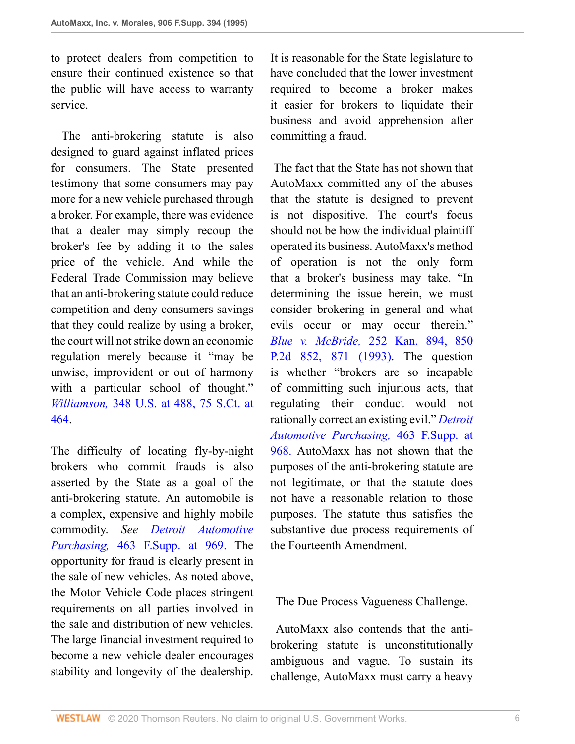to protect dealers from competition to ensure their continued existence so that the public will have access to warranty service.

 The anti-brokering statute is also designed to guard against inflated prices for consumers. The State presented testimony that some consumers may pay more for a new vehicle purchased through a broker. For example, there was evidence that a dealer may simply recoup the broker's fee by adding it to the sales price of the vehicle. And while the Federal Trade Commission may believe that an anti-brokering statute could reduce competition and deny consumers savings that they could realize by using a broker, the court will not strike down an economic regulation merely because it "may be unwise, improvident or out of harmony with a particular school of thought." *Williamson,* [348 U.S. at 488, 75 S.Ct. at](http://www.westlaw.com/Link/Document/FullText?findType=Y&serNum=1955121924&pubNum=0000708&originatingDoc=I3e815b11564411d9bf30d7fdf51b6bd4&refType=RP&fi=co_pp_sp_708_464&originationContext=document&vr=3.0&rs=cblt1.0&transitionType=DocumentItem&contextData=(sc.UserEnteredCitation)#co_pp_sp_708_464) [464.](http://www.westlaw.com/Link/Document/FullText?findType=Y&serNum=1955121924&pubNum=0000708&originatingDoc=I3e815b11564411d9bf30d7fdf51b6bd4&refType=RP&fi=co_pp_sp_708_464&originationContext=document&vr=3.0&rs=cblt1.0&transitionType=DocumentItem&contextData=(sc.UserEnteredCitation)#co_pp_sp_708_464)

The difficulty of locating fly-by-night brokers who commit frauds is also asserted by the State as a goal of the anti-brokering statute. An automobile is a complex, expensive and highly mobile commodity. *See [Detroit Automotive](http://www.westlaw.com/Link/Document/FullText?findType=Y&serNum=1979184240&pubNum=345&originatingDoc=I3e815b11564411d9bf30d7fdf51b6bd4&refType=RP&fi=co_pp_sp_345_969&originationContext=document&vr=3.0&rs=cblt1.0&transitionType=DocumentItem&contextData=(sc.UserEnteredCitation)#co_pp_sp_345_969) Purchasing,* [463 F.Supp. at 969.](http://www.westlaw.com/Link/Document/FullText?findType=Y&serNum=1979184240&pubNum=345&originatingDoc=I3e815b11564411d9bf30d7fdf51b6bd4&refType=RP&fi=co_pp_sp_345_969&originationContext=document&vr=3.0&rs=cblt1.0&transitionType=DocumentItem&contextData=(sc.UserEnteredCitation)#co_pp_sp_345_969) The opportunity for fraud is clearly present in the sale of new vehicles. As noted above, the Motor Vehicle Code places stringent requirements on all parties involved in the sale and distribution of new vehicles. The large financial investment required to become a new vehicle dealer encourages stability and longevity of the dealership.

It is reasonable for the State legislature to have concluded that the lower investment required to become a broker makes it easier for brokers to liquidate their business and avoid apprehension after committing a fraud.

 The fact that the State has not shown that AutoMaxx committed any of the abuses that the statute is designed to prevent is not dispositive. The court's focus should not be how the individual plaintiff operated its business. AutoMaxx's method of operation is not the only form that a broker's business may take. "In determining the issue herein, we must consider brokering in general and what evils occur or may occur therein." *Blue v. McBride,* [252 Kan. 894, 850](http://www.westlaw.com/Link/Document/FullText?findType=Y&serNum=1993089560&pubNum=0000661&originatingDoc=I3e815b11564411d9bf30d7fdf51b6bd4&refType=RP&fi=co_pp_sp_661_871&originationContext=document&vr=3.0&rs=cblt1.0&transitionType=DocumentItem&contextData=(sc.UserEnteredCitation)#co_pp_sp_661_871) [P.2d 852, 871 \(1993\).](http://www.westlaw.com/Link/Document/FullText?findType=Y&serNum=1993089560&pubNum=0000661&originatingDoc=I3e815b11564411d9bf30d7fdf51b6bd4&refType=RP&fi=co_pp_sp_661_871&originationContext=document&vr=3.0&rs=cblt1.0&transitionType=DocumentItem&contextData=(sc.UserEnteredCitation)#co_pp_sp_661_871) The question is whether "brokers are so incapable of committing such injurious acts, that regulating their conduct would not rationally correct an existing evil." *[Detroit](http://www.westlaw.com/Link/Document/FullText?findType=Y&serNum=1979184240&pubNum=345&originatingDoc=I3e815b11564411d9bf30d7fdf51b6bd4&refType=RP&fi=co_pp_sp_345_968&originationContext=document&vr=3.0&rs=cblt1.0&transitionType=DocumentItem&contextData=(sc.UserEnteredCitation)#co_pp_sp_345_968) [Automotive Purchasing,](http://www.westlaw.com/Link/Document/FullText?findType=Y&serNum=1979184240&pubNum=345&originatingDoc=I3e815b11564411d9bf30d7fdf51b6bd4&refType=RP&fi=co_pp_sp_345_968&originationContext=document&vr=3.0&rs=cblt1.0&transitionType=DocumentItem&contextData=(sc.UserEnteredCitation)#co_pp_sp_345_968)* 463 F.Supp. at [968.](http://www.westlaw.com/Link/Document/FullText?findType=Y&serNum=1979184240&pubNum=345&originatingDoc=I3e815b11564411d9bf30d7fdf51b6bd4&refType=RP&fi=co_pp_sp_345_968&originationContext=document&vr=3.0&rs=cblt1.0&transitionType=DocumentItem&contextData=(sc.UserEnteredCitation)#co_pp_sp_345_968) AutoMaxx has not shown that the purposes of the anti-brokering statute are not legitimate, or that the statute does not have a reasonable relation to those purposes. The statute thus satisfies the substantive due process requirements of the Fourteenth Amendment.

The Due Process Vagueness Challenge.

 AutoMaxx also contends that the antibrokering statute is unconstitutionally ambiguous and vague. To sustain its challenge, AutoMaxx must carry a heavy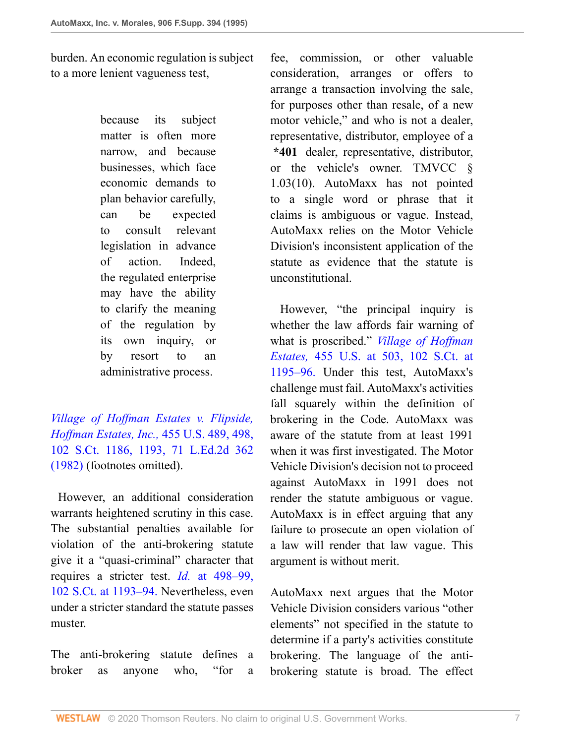burden. An economic regulation is subject to a more lenient vagueness test,

> because its subject matter is often more narrow, and because businesses, which face economic demands to plan behavior carefully, can be expected to consult relevant legislation in advance of action. Indeed, the regulated enterprise may have the ability to clarify the meaning of the regulation by its own inquiry, or by resort to an administrative process.

*[Village of Hoffman Estates v. Flipside,](http://www.westlaw.com/Link/Document/FullText?findType=Y&serNum=1982109837&pubNum=0000708&originatingDoc=I3e815b11564411d9bf30d7fdf51b6bd4&refType=RP&fi=co_pp_sp_708_1193&originationContext=document&vr=3.0&rs=cblt1.0&transitionType=DocumentItem&contextData=(sc.UserEnteredCitation)#co_pp_sp_708_1193) [Hoffman Estates, Inc.,](http://www.westlaw.com/Link/Document/FullText?findType=Y&serNum=1982109837&pubNum=0000708&originatingDoc=I3e815b11564411d9bf30d7fdf51b6bd4&refType=RP&fi=co_pp_sp_708_1193&originationContext=document&vr=3.0&rs=cblt1.0&transitionType=DocumentItem&contextData=(sc.UserEnteredCitation)#co_pp_sp_708_1193)* 455 U.S. 489, 498, [102 S.Ct. 1186, 1193, 71 L.Ed.2d 362](http://www.westlaw.com/Link/Document/FullText?findType=Y&serNum=1982109837&pubNum=0000708&originatingDoc=I3e815b11564411d9bf30d7fdf51b6bd4&refType=RP&fi=co_pp_sp_708_1193&originationContext=document&vr=3.0&rs=cblt1.0&transitionType=DocumentItem&contextData=(sc.UserEnteredCitation)#co_pp_sp_708_1193) [\(1982\)](http://www.westlaw.com/Link/Document/FullText?findType=Y&serNum=1982109837&pubNum=0000708&originatingDoc=I3e815b11564411d9bf30d7fdf51b6bd4&refType=RP&fi=co_pp_sp_708_1193&originationContext=document&vr=3.0&rs=cblt1.0&transitionType=DocumentItem&contextData=(sc.UserEnteredCitation)#co_pp_sp_708_1193) (footnotes omitted).

 However, an additional consideration warrants heightened scrutiny in this case. The substantial penalties available for violation of the anti-brokering statute give it a "quasi-criminal" character that requires a stricter test. *Id.* [at 498–99,](http://www.westlaw.com/Link/Document/FullText?findType=Y&serNum=1982109837&pubNum=708&originatingDoc=I3e815b11564411d9bf30d7fdf51b6bd4&refType=RP&fi=co_pp_sp_708_1193&originationContext=document&vr=3.0&rs=cblt1.0&transitionType=DocumentItem&contextData=(sc.UserEnteredCitation)#co_pp_sp_708_1193) [102 S.Ct. at 1193–94.](http://www.westlaw.com/Link/Document/FullText?findType=Y&serNum=1982109837&pubNum=708&originatingDoc=I3e815b11564411d9bf30d7fdf51b6bd4&refType=RP&fi=co_pp_sp_708_1193&originationContext=document&vr=3.0&rs=cblt1.0&transitionType=DocumentItem&contextData=(sc.UserEnteredCitation)#co_pp_sp_708_1193) Nevertheless, even under a stricter standard the statute passes muster.

The anti-brokering statute defines a broker as anyone who, "for a fee, commission, or other valuable consideration, arranges or offers to arrange a transaction involving the sale, for purposes other than resale, of a new motor vehicle," and who is not a dealer, representative, distributor, employee of a **\*401** dealer, representative, distributor, or the vehicle's owner. TMVCC § 1.03(10). AutoMaxx has not pointed to a single word or phrase that it claims is ambiguous or vague. Instead, AutoMaxx relies on the Motor Vehicle Division's inconsistent application of the statute as evidence that the statute is unconstitutional.

 However, "the principal inquiry is whether the law affords fair warning of what is proscribed." *[Village of Hoffman](http://www.westlaw.com/Link/Document/FullText?findType=Y&serNum=1982109837&pubNum=708&originatingDoc=I3e815b11564411d9bf30d7fdf51b6bd4&refType=RP&fi=co_pp_sp_708_1195&originationContext=document&vr=3.0&rs=cblt1.0&transitionType=DocumentItem&contextData=(sc.UserEnteredCitation)#co_pp_sp_708_1195) Estates,* [455 U.S. at 503, 102 S.Ct. at](http://www.westlaw.com/Link/Document/FullText?findType=Y&serNum=1982109837&pubNum=708&originatingDoc=I3e815b11564411d9bf30d7fdf51b6bd4&refType=RP&fi=co_pp_sp_708_1195&originationContext=document&vr=3.0&rs=cblt1.0&transitionType=DocumentItem&contextData=(sc.UserEnteredCitation)#co_pp_sp_708_1195) [1195–96.](http://www.westlaw.com/Link/Document/FullText?findType=Y&serNum=1982109837&pubNum=708&originatingDoc=I3e815b11564411d9bf30d7fdf51b6bd4&refType=RP&fi=co_pp_sp_708_1195&originationContext=document&vr=3.0&rs=cblt1.0&transitionType=DocumentItem&contextData=(sc.UserEnteredCitation)#co_pp_sp_708_1195) Under this test, AutoMaxx's challenge must fail. AutoMaxx's activities fall squarely within the definition of brokering in the Code. AutoMaxx was aware of the statute from at least 1991 when it was first investigated. The Motor Vehicle Division's decision not to proceed against AutoMaxx in 1991 does not render the statute ambiguous or vague. AutoMaxx is in effect arguing that any failure to prosecute an open violation of a law will render that law vague. This argument is without merit.

AutoMaxx next argues that the Motor Vehicle Division considers various "other elements" not specified in the statute to determine if a party's activities constitute brokering. The language of the antibrokering statute is broad. The effect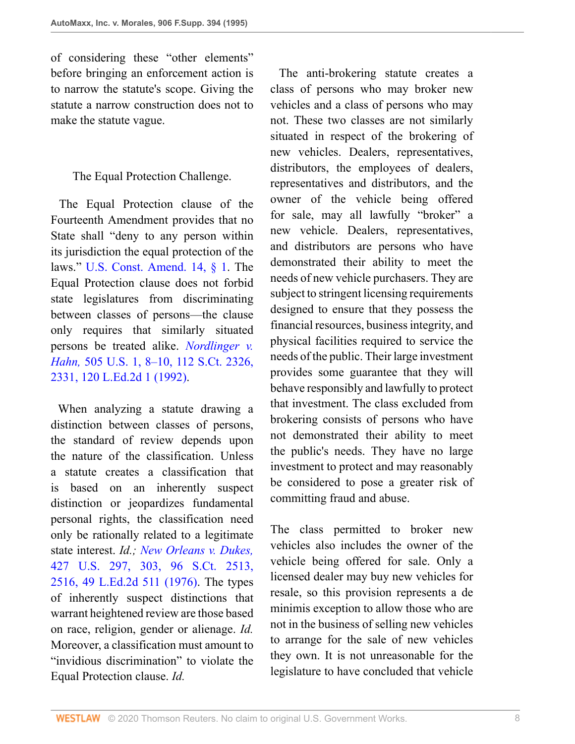of considering these "other elements" before bringing an enforcement action is to narrow the statute's scope. Giving the statute a narrow construction does not to make the statute vague.

The Equal Protection Challenge.

 The Equal Protection clause of the Fourteenth Amendment provides that no State shall "deny to any person within its jurisdiction the equal protection of the laws." [U.S. Const. Amend. 14, § 1.](http://www.westlaw.com/Link/Document/FullText?findType=L&pubNum=1000583&cite=USCOAMENDXIVS1&originatingDoc=I3e815b11564411d9bf30d7fdf51b6bd4&refType=LQ&originationContext=document&vr=3.0&rs=cblt1.0&transitionType=DocumentItem&contextData=(sc.UserEnteredCitation)) The Equal Protection clause does not forbid state legislatures from discriminating between classes of persons—the clause only requires that similarly situated persons be treated alike. *[Nordlinger v.](http://www.westlaw.com/Link/Document/FullText?findType=Y&serNum=1992110118&pubNum=0000708&originatingDoc=I3e815b11564411d9bf30d7fdf51b6bd4&refType=RP&fi=co_pp_sp_708_2331&originationContext=document&vr=3.0&rs=cblt1.0&transitionType=DocumentItem&contextData=(sc.UserEnteredCitation)#co_pp_sp_708_2331) Hahn,* [505 U.S. 1, 8–10, 112 S.Ct. 2326,](http://www.westlaw.com/Link/Document/FullText?findType=Y&serNum=1992110118&pubNum=0000708&originatingDoc=I3e815b11564411d9bf30d7fdf51b6bd4&refType=RP&fi=co_pp_sp_708_2331&originationContext=document&vr=3.0&rs=cblt1.0&transitionType=DocumentItem&contextData=(sc.UserEnteredCitation)#co_pp_sp_708_2331) [2331, 120 L.Ed.2d 1 \(1992\).](http://www.westlaw.com/Link/Document/FullText?findType=Y&serNum=1992110118&pubNum=0000708&originatingDoc=I3e815b11564411d9bf30d7fdf51b6bd4&refType=RP&fi=co_pp_sp_708_2331&originationContext=document&vr=3.0&rs=cblt1.0&transitionType=DocumentItem&contextData=(sc.UserEnteredCitation)#co_pp_sp_708_2331)

 When analyzing a statute drawing a distinction between classes of persons, the standard of review depends upon the nature of the classification. Unless a statute creates a classification that is based on an inherently suspect distinction or jeopardizes fundamental personal rights, the classification need only be rationally related to a legitimate state interest. *Id.; [New Orleans v. Dukes,](http://www.westlaw.com/Link/Document/FullText?findType=Y&serNum=1976142424&pubNum=0000708&originatingDoc=I3e815b11564411d9bf30d7fdf51b6bd4&refType=RP&fi=co_pp_sp_708_2516&originationContext=document&vr=3.0&rs=cblt1.0&transitionType=DocumentItem&contextData=(sc.UserEnteredCitation)#co_pp_sp_708_2516)* [427 U.S. 297, 303, 96 S.Ct. 2513,](http://www.westlaw.com/Link/Document/FullText?findType=Y&serNum=1976142424&pubNum=0000708&originatingDoc=I3e815b11564411d9bf30d7fdf51b6bd4&refType=RP&fi=co_pp_sp_708_2516&originationContext=document&vr=3.0&rs=cblt1.0&transitionType=DocumentItem&contextData=(sc.UserEnteredCitation)#co_pp_sp_708_2516) [2516, 49 L.Ed.2d 511 \(1976\)](http://www.westlaw.com/Link/Document/FullText?findType=Y&serNum=1976142424&pubNum=0000708&originatingDoc=I3e815b11564411d9bf30d7fdf51b6bd4&refType=RP&fi=co_pp_sp_708_2516&originationContext=document&vr=3.0&rs=cblt1.0&transitionType=DocumentItem&contextData=(sc.UserEnteredCitation)#co_pp_sp_708_2516). The types of inherently suspect distinctions that warrant heightened review are those based on race, religion, gender or alienage. *Id.* Moreover, a classification must amount to "invidious discrimination" to violate the Equal Protection clause. *Id.*

 The anti-brokering statute creates a class of persons who may broker new vehicles and a class of persons who may not. These two classes are not similarly situated in respect of the brokering of new vehicles. Dealers, representatives, distributors, the employees of dealers, representatives and distributors, and the owner of the vehicle being offered for sale, may all lawfully "broker" a new vehicle. Dealers, representatives, and distributors are persons who have demonstrated their ability to meet the needs of new vehicle purchasers. They are subject to stringent licensing requirements designed to ensure that they possess the financial resources, business integrity, and physical facilities required to service the needs of the public. Their large investment provides some guarantee that they will behave responsibly and lawfully to protect that investment. The class excluded from brokering consists of persons who have not demonstrated their ability to meet the public's needs. They have no large investment to protect and may reasonably be considered to pose a greater risk of committing fraud and abuse.

The class permitted to broker new vehicles also includes the owner of the vehicle being offered for sale. Only a licensed dealer may buy new vehicles for resale, so this provision represents a de minimis exception to allow those who are not in the business of selling new vehicles to arrange for the sale of new vehicles they own. It is not unreasonable for the legislature to have concluded that vehicle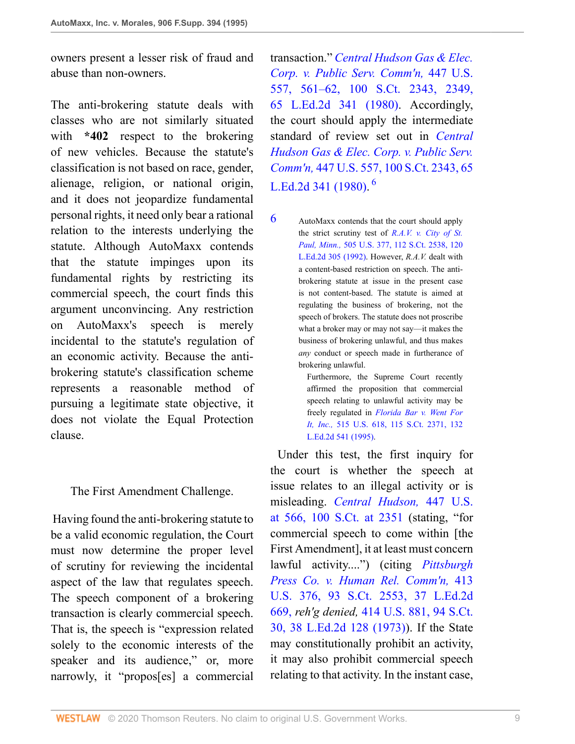owners present a lesser risk of fraud and abuse than non-owners.

The anti-brokering statute deals with classes who are not similarly situated with **\*402** respect to the brokering of new vehicles. Because the statute's classification is not based on race, gender, alienage, religion, or national origin, and it does not jeopardize fundamental personal rights, it need only bear a rational relation to the interests underlying the statute. Although AutoMaxx contends that the statute impinges upon its fundamental rights by restricting its commercial speech, the court finds this argument unconvincing. Any restriction on AutoMaxx's speech is merely incidental to the statute's regulation of an economic activity. Because the antibrokering statute's classification scheme represents a reasonable method of pursuing a legitimate state objective, it does not violate the Equal Protection clause.

The First Amendment Challenge.

 Having found the anti-brokering statute to be a valid economic regulation, the Court must now determine the proper level of scrutiny for reviewing the incidental aspect of the law that regulates speech. The speech component of a brokering transaction is clearly commercial speech. That is, the speech is "expression related solely to the economic interests of the speaker and its audience," or, more narrowly, it "propos[es] a commercial transaction." *[Central Hudson Gas & Elec.](http://www.westlaw.com/Link/Document/FullText?findType=Y&serNum=1980116785&pubNum=0000708&originatingDoc=I3e815b11564411d9bf30d7fdf51b6bd4&refType=RP&fi=co_pp_sp_708_2349&originationContext=document&vr=3.0&rs=cblt1.0&transitionType=DocumentItem&contextData=(sc.UserEnteredCitation)#co_pp_sp_708_2349) [Corp. v. Public Serv. Comm'n,](http://www.westlaw.com/Link/Document/FullText?findType=Y&serNum=1980116785&pubNum=0000708&originatingDoc=I3e815b11564411d9bf30d7fdf51b6bd4&refType=RP&fi=co_pp_sp_708_2349&originationContext=document&vr=3.0&rs=cblt1.0&transitionType=DocumentItem&contextData=(sc.UserEnteredCitation)#co_pp_sp_708_2349)* 447 U.S. [557, 561–62, 100 S.Ct. 2343, 2349,](http://www.westlaw.com/Link/Document/FullText?findType=Y&serNum=1980116785&pubNum=0000708&originatingDoc=I3e815b11564411d9bf30d7fdf51b6bd4&refType=RP&fi=co_pp_sp_708_2349&originationContext=document&vr=3.0&rs=cblt1.0&transitionType=DocumentItem&contextData=(sc.UserEnteredCitation)#co_pp_sp_708_2349) [65 L.Ed.2d 341 \(1980\)](http://www.westlaw.com/Link/Document/FullText?findType=Y&serNum=1980116785&pubNum=0000708&originatingDoc=I3e815b11564411d9bf30d7fdf51b6bd4&refType=RP&fi=co_pp_sp_708_2349&originationContext=document&vr=3.0&rs=cblt1.0&transitionType=DocumentItem&contextData=(sc.UserEnteredCitation)#co_pp_sp_708_2349). Accordingly, the court should apply the intermediate standard of review set out in *[Central](http://www.westlaw.com/Link/Document/FullText?findType=Y&serNum=1980116785&pubNum=0000708&originatingDoc=I3e815b11564411d9bf30d7fdf51b6bd4&refType=RP&originationContext=document&vr=3.0&rs=cblt1.0&transitionType=DocumentItem&contextData=(sc.UserEnteredCitation)) [Hudson Gas & Elec. Corp. v. Public Serv.](http://www.westlaw.com/Link/Document/FullText?findType=Y&serNum=1980116785&pubNum=0000708&originatingDoc=I3e815b11564411d9bf30d7fdf51b6bd4&refType=RP&originationContext=document&vr=3.0&rs=cblt1.0&transitionType=DocumentItem&contextData=(sc.UserEnteredCitation)) Comm'n,* [447 U.S. 557, 100 S.Ct. 2343, 65](http://www.westlaw.com/Link/Document/FullText?findType=Y&serNum=1980116785&pubNum=0000708&originatingDoc=I3e815b11564411d9bf30d7fdf51b6bd4&refType=RP&originationContext=document&vr=3.0&rs=cblt1.0&transitionType=DocumentItem&contextData=(sc.UserEnteredCitation)) [L.Ed.2d 341 \(1980\).](http://www.westlaw.com/Link/Document/FullText?findType=Y&serNum=1980116785&pubNum=0000708&originatingDoc=I3e815b11564411d9bf30d7fdf51b6bd4&refType=RP&originationContext=document&vr=3.0&rs=cblt1.0&transitionType=DocumentItem&contextData=(sc.UserEnteredCitation)) [6](#page-8-0)

<span id="page-8-1"></span><span id="page-8-0"></span>[6](#page-8-1) AutoMaxx contends that the court should apply the strict scrutiny test of *[R.A.V. v. City of St.](http://www.westlaw.com/Link/Document/FullText?findType=Y&serNum=1992111890&pubNum=0000708&originatingDoc=I3e815b11564411d9bf30d7fdf51b6bd4&refType=RP&originationContext=document&vr=3.0&rs=cblt1.0&transitionType=DocumentItem&contextData=(sc.UserEnteredCitation)) Paul, Minn.,* [505 U.S. 377, 112 S.Ct. 2538, 120](http://www.westlaw.com/Link/Document/FullText?findType=Y&serNum=1992111890&pubNum=0000708&originatingDoc=I3e815b11564411d9bf30d7fdf51b6bd4&refType=RP&originationContext=document&vr=3.0&rs=cblt1.0&transitionType=DocumentItem&contextData=(sc.UserEnteredCitation)) [L.Ed.2d 305 \(1992\).](http://www.westlaw.com/Link/Document/FullText?findType=Y&serNum=1992111890&pubNum=0000708&originatingDoc=I3e815b11564411d9bf30d7fdf51b6bd4&refType=RP&originationContext=document&vr=3.0&rs=cblt1.0&transitionType=DocumentItem&contextData=(sc.UserEnteredCitation)) However, *R.A.V.* dealt with a content-based restriction on speech. The antibrokering statute at issue in the present case is not content-based. The statute is aimed at regulating the business of brokering, not the speech of brokers. The statute does not proscribe what a broker may or may not say—it makes the business of brokering unlawful, and thus makes *any* conduct or speech made in furtherance of brokering unlawful.

Furthermore, the Supreme Court recently affirmed the proposition that commercial speech relating to unlawful activity may be freely regulated in *[Florida Bar v. Went For](http://www.westlaw.com/Link/Document/FullText?findType=Y&serNum=1995132542&pubNum=0000708&originatingDoc=I3e815b11564411d9bf30d7fdf51b6bd4&refType=RP&originationContext=document&vr=3.0&rs=cblt1.0&transitionType=DocumentItem&contextData=(sc.UserEnteredCitation)) It, Inc.,* [515 U.S. 618, 115 S.Ct. 2371, 132](http://www.westlaw.com/Link/Document/FullText?findType=Y&serNum=1995132542&pubNum=0000708&originatingDoc=I3e815b11564411d9bf30d7fdf51b6bd4&refType=RP&originationContext=document&vr=3.0&rs=cblt1.0&transitionType=DocumentItem&contextData=(sc.UserEnteredCitation)) [L.Ed.2d 541 \(1995\).](http://www.westlaw.com/Link/Document/FullText?findType=Y&serNum=1995132542&pubNum=0000708&originatingDoc=I3e815b11564411d9bf30d7fdf51b6bd4&refType=RP&originationContext=document&vr=3.0&rs=cblt1.0&transitionType=DocumentItem&contextData=(sc.UserEnteredCitation))

 Under this test, the first inquiry for the court is whether the speech at issue relates to an illegal activity or is misleading. *[Central Hudson,](http://www.westlaw.com/Link/Document/FullText?findType=Y&serNum=1980116785&pubNum=0000708&originatingDoc=I3e815b11564411d9bf30d7fdf51b6bd4&refType=RP&fi=co_pp_sp_708_2351&originationContext=document&vr=3.0&rs=cblt1.0&transitionType=DocumentItem&contextData=(sc.UserEnteredCitation)#co_pp_sp_708_2351)* 447 U.S. [at 566, 100 S.Ct. at 2351](http://www.westlaw.com/Link/Document/FullText?findType=Y&serNum=1980116785&pubNum=0000708&originatingDoc=I3e815b11564411d9bf30d7fdf51b6bd4&refType=RP&fi=co_pp_sp_708_2351&originationContext=document&vr=3.0&rs=cblt1.0&transitionType=DocumentItem&contextData=(sc.UserEnteredCitation)#co_pp_sp_708_2351) (stating, "for commercial speech to come within [the First Amendment], it at least must concern lawful activity....") (citing *[Pittsburgh](http://www.westlaw.com/Link/Document/FullText?findType=Y&serNum=1973126436&pubNum=708&originatingDoc=I3e815b11564411d9bf30d7fdf51b6bd4&refType=RP&originationContext=document&vr=3.0&rs=cblt1.0&transitionType=DocumentItem&contextData=(sc.UserEnteredCitation)) [Press Co. v. Human Rel. Comm'n,](http://www.westlaw.com/Link/Document/FullText?findType=Y&serNum=1973126436&pubNum=708&originatingDoc=I3e815b11564411d9bf30d7fdf51b6bd4&refType=RP&originationContext=document&vr=3.0&rs=cblt1.0&transitionType=DocumentItem&contextData=(sc.UserEnteredCitation))* 413 [U.S. 376, 93 S.Ct. 2553, 37 L.Ed.2d](http://www.westlaw.com/Link/Document/FullText?findType=Y&serNum=1973126436&pubNum=708&originatingDoc=I3e815b11564411d9bf30d7fdf51b6bd4&refType=RP&originationContext=document&vr=3.0&rs=cblt1.0&transitionType=DocumentItem&contextData=(sc.UserEnteredCitation)) [669,](http://www.westlaw.com/Link/Document/FullText?findType=Y&serNum=1973126436&pubNum=708&originatingDoc=I3e815b11564411d9bf30d7fdf51b6bd4&refType=RP&originationContext=document&vr=3.0&rs=cblt1.0&transitionType=DocumentItem&contextData=(sc.UserEnteredCitation)) *reh'g denied,* [414 U.S. 881, 94 S.Ct.](http://www.westlaw.com/Link/Document/FullText?findType=Y&serNum=1973203889&pubNum=0000708&originatingDoc=I3e815b11564411d9bf30d7fdf51b6bd4&refType=RP&originationContext=document&vr=3.0&rs=cblt1.0&transitionType=DocumentItem&contextData=(sc.UserEnteredCitation)) [30, 38 L.Ed.2d 128 \(1973\)\)](http://www.westlaw.com/Link/Document/FullText?findType=Y&serNum=1973203889&pubNum=0000708&originatingDoc=I3e815b11564411d9bf30d7fdf51b6bd4&refType=RP&originationContext=document&vr=3.0&rs=cblt1.0&transitionType=DocumentItem&contextData=(sc.UserEnteredCitation)). If the State may constitutionally prohibit an activity, it may also prohibit commercial speech relating to that activity. In the instant case,